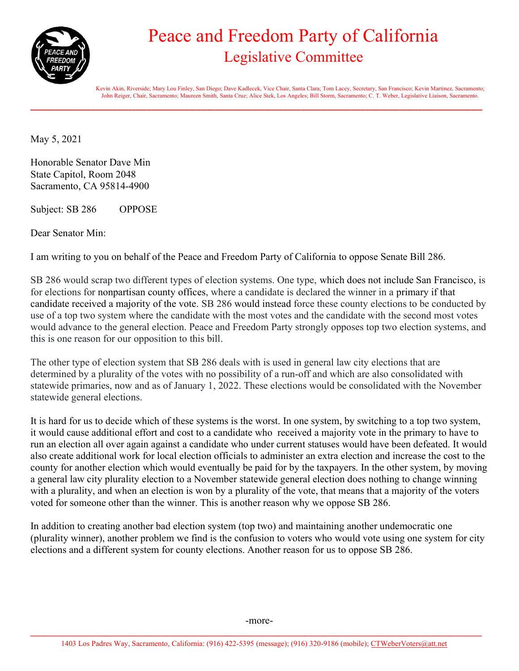

## Peace and Freedom Party of California Legislative Committee

 Kevin Akin, Riverside; Mary Lou Finley, San Diego; Dave Kadlecek, Vice Chair, Santa Clara; Tom Lacey, Secretary, San Francisco; Kevin Martinez, Sacramento; John Reiger, Chair, Sacramento; Maureen Smith, Santa Cruz; Alice Stek, Los Angeles; Bill Storm, Sacramento; C. T. Weber, Legislative Liaison, Sacramento.

\_\_\_\_\_\_\_\_\_\_\_\_\_\_\_\_\_\_\_\_\_\_\_\_\_\_\_\_\_\_\_\_\_\_\_\_\_\_\_\_\_\_\_\_\_\_\_\_\_\_\_\_\_\_\_\_\_\_\_\_\_\_\_\_\_\_\_\_\_\_\_\_\_\_\_\_\_\_\_\_\_\_\_\_\_\_\_\_\_\_\_\_\_\_\_\_\_\_\_\_\_\_\_\_\_\_\_\_\_\_\_\_\_\_\_\_\_\_\_\_

May 5, 2021

Honorable Senator Dave Min State Capitol, Room 2048 Sacramento, CA 95814-4900

Subject: SB 286 OPPOSE

Dear Senator Min:

I am writing to you on behalf of the Peace and Freedom Party of California to oppose Senate Bill 286.

SB 286 would scrap two different types of election systems. One type, which does not include San Francisco, is for elections for nonpartisan county offices, where a candidate is declared the winner in a primary if that candidate received a majority of the vote. SB 286 would instead force these county elections to be conducted by use of a top two system where the candidate with the most votes and the candidate with the second most votes would advance to the general election. Peace and Freedom Party strongly opposes top two election systems, and this is one reason for our opposition to this bill.

The other type of election system that SB 286 deals with is used in general law city elections that are determined by a plurality of the votes with no possibility of a run-off and which are also consolidated with statewide primaries, now and as of January 1, 2022. These elections would be consolidated with the November statewide general elections.

It is hard for us to decide which of these systems is the worst. In one system, by switching to a top two system, it would cause additional effort and cost to a candidate who received a majority vote in the primary to have to run an election all over again against a candidate who under current statuses would have been defeated. It would also create additional work for local election officials to administer an extra election and increase the cost to the county for another election which would eventually be paid for by the taxpayers. In the other system, by moving a general law city plurality election to a November statewide general election does nothing to change winning with a plurality, and when an election is won by a plurality of the vote, that means that a majority of the voters voted for someone other than the winner. This is another reason why we oppose SB 286.

In addition to creating another bad election system (top two) and maintaining another undemocratic one (plurality winner), another problem we find is the confusion to voters who would vote using one system for city elections and a different system for county elections. Another reason for us to oppose SB 286.